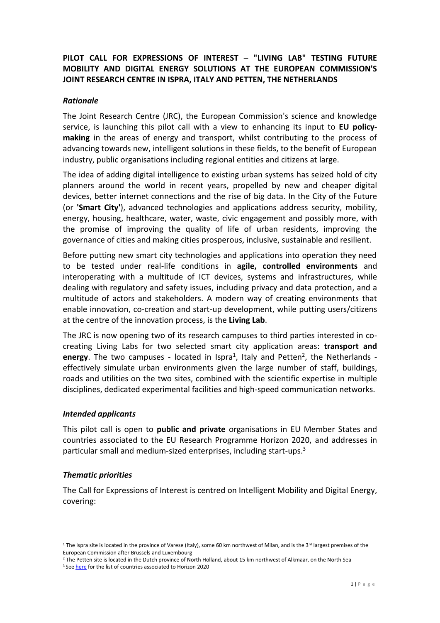# **PILOT CALL FOR EXPRESSIONS OF INTEREST – "LIVING LAB" TESTING FUTURE MOBILITY AND DIGITAL ENERGY SOLUTIONS AT THE EUROPEAN COMMISSION'S JOINT RESEARCH CENTRE IN ISPRA, ITALY AND PETTEN, THE NETHERLANDS**

#### *Rationale*

The [Joint Research Centre \(JRC\),](https://ec.europa.eu/jrc/en) the European Commission's science and knowledge service, is launching this pilot call with a view to enhancing its input to **EU policymaking** in the areas of energy and transport, whilst contributing to the process of advancing towards new, intelligent solutions in these fields, to the benefit of European industry, public organisations including regional entities and citizens at large.

The idea of adding digital intelligence to existing urban systems has seized hold of city planners around the world in recent years, propelled by new and cheaper digital devices, better internet connections and the rise of big data. In the City of the Future (or **'Smart City'**), advanced technologies and applications address security, mobility, energy, housing, healthcare, water, waste, civic engagement and possibly more, with the promise of improving the quality of life of urban residents, improving the governance of cities and making cities prosperous, inclusive, sustainable and resilient.

Before putting new smart city technologies and applications into operation they need to be tested under real-life conditions in **agile, controlled environments** and interoperating with a multitude of ICT devices, systems and infrastructures, while dealing with regulatory and safety issues, including privacy and data protection, and a multitude of actors and stakeholders. A modern way of creating environments that enable innovation, co-creation and start-up development, while putting users/citizens at the centre of the innovation process, is the **Living Lab**.

The JRC is now opening two of its research campuses to third parties interested in cocreating Living Labs for two selected smart city application areas: **transport and**  energy. The two campuses - located in Ispra<sup>1</sup>, Italy and Petten<sup>2</sup>, the Netherlands effectively simulate urban environments given the large number of staff, buildings, roads and utilities on the two sites, combined with the scientific expertise in multiple disciplines, dedicated experimental facilities and high-speed communication networks.

#### *Intended applicants*

This pilot call is open to **public and private** organisations in EU Member States and countries associated to the EU Research Programme Horizon 2020, and addresses in particular small and medium-sized enterprises, including start-ups.<sup>3</sup>

# *Thematic priorities*

1

The Call for Expressions of Interest is centred on Intelligent Mobility and Digital Energy, covering:

<sup>&</sup>lt;sup>1</sup> The Ispra site is located in the province of Varese (Italy), some 60 km northwest of Milan, and is the 3<sup>rd</sup> largest premises of the European Commission after Brussels and Luxembourg

<sup>&</sup>lt;sup>2</sup> The Petten site is located in the Dutch province of North Holland, about 15 km northwest of Alkmaar, on the North Sea

<sup>&</sup>lt;sup>3</sup> Se[e here](http://ec.europa.eu/research/participants/data/ref/h2020/grants_manual/hi/3cpart/h2020-hi-list-ac_en.pdf) for the list of countries associated to Horizon 2020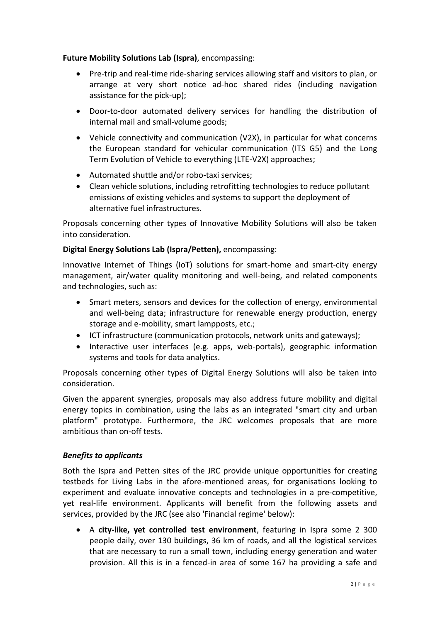# **Future Mobility Solutions Lab (Ispra)**, encompassing:

- Pre-trip and real-time ride-sharing services allowing staff and visitors to plan, or arrange at very short notice ad-hoc shared rides (including navigation assistance for the pick-up);
- Door-to-door automated delivery services for handling the distribution of internal mail and small-volume goods;
- Vehicle connectivity and communication (V2X), in particular for what concerns the European standard for vehicular communication (ITS G5) and the Long Term Evolution of Vehicle to everything (LTE-V2X) approaches;
- Automated shuttle and/or robo-taxi services;
- Clean vehicle solutions, including retrofitting technologies to reduce pollutant emissions of existing vehicles and systems to support the deployment of alternative fuel infrastructures.

Proposals concerning other types of Innovative Mobility Solutions will also be taken into consideration.

# **Digital Energy Solutions Lab (Ispra/Petten),** encompassing:

Innovative Internet of Things (IoT) solutions for smart-home and smart-city energy management, air/water quality monitoring and well-being, and related components and technologies, such as:

- Smart meters, sensors and devices for the collection of energy, environmental and well-being data; infrastructure for renewable energy production, energy storage and e-mobility, smart lampposts, etc.;
- ICT infrastructure (communication protocols, network units and gateways);
- Interactive user interfaces (e.g. apps, web-portals), geographic information systems and tools for data analytics.

Proposals concerning other types of Digital Energy Solutions will also be taken into consideration.

Given the apparent synergies, proposals may also address future mobility and digital energy topics in combination, using the labs as an integrated "smart city and urban platform" prototype. Furthermore, the JRC welcomes proposals that are more ambitious than on-off tests.

# *Benefits to applicants*

Both the Ispra and Petten sites of the JRC provide unique opportunities for creating testbeds for Living Labs in the afore-mentioned areas, for organisations looking to experiment and evaluate innovative concepts and technologies in a pre-competitive, yet real-life environment. Applicants will benefit from the following assets and services, provided by the JRC (see also 'Financial regime' below):

 A **city-like, yet controlled test environment**, featuring in Ispra some 2 300 people daily, over 130 buildings, 36 km of roads, and all the logistical services that are necessary to run a small town, including energy generation and water provision. All this is in a fenced-in area of some 167 ha providing a safe and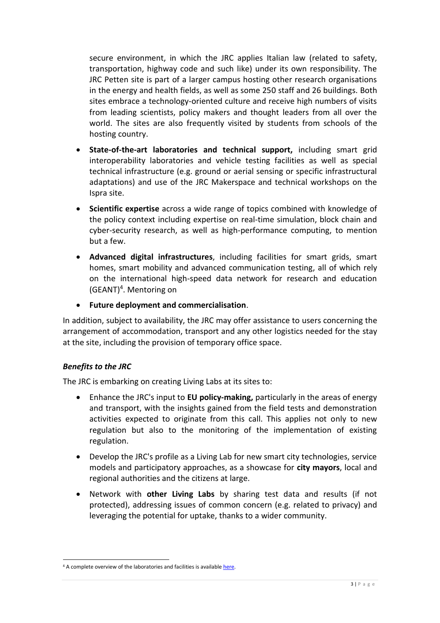secure environment, in which the JRC applies Italian law (related to safety, transportation, highway code and such like) under its own responsibility. The JRC Petten site is part of a larger campus hosting other research organisations in the energy and health fields, as well as some 250 staff and 26 buildings. Both sites embrace a technology-oriented culture and receive high numbers of visits from leading scientists, policy makers and thought leaders from all over the world. The sites are also frequently visited by students from schools of the hosting country.

- **State-of-the-art laboratories and technical support,** including smart grid interoperability laboratories and vehicle testing facilities as well as special technical infrastructure (e.g. ground or aerial sensing or specific infrastructural adaptations) and use of the JRC Makerspace and technical workshops on the Ispra site.
- **Scientific expertise** across a wide range of topics combined with knowledge of the policy context including expertise on real-time simulation, block chain and cyber-security research, as well as high-performance computing, to mention but a few.
- **Advanced digital infrastructures**, including facilities for smart grids, smart homes, smart mobility and advanced communication testing, all of which rely on the international high-speed data network for research and education (GEANT)<sup>4</sup> . Mentoring on
- **Future deployment and commercialisation**.

In addition, subject to availability, the JRC may offer assistance to users concerning the arrangement of accommodation, transport and any other logistics needed for the stay at the site, including the provision of temporary office space.

# *Benefits to the JRC*

1

The JRC is embarking on creating Living Labs at its sites to:

- Enhance the JRC's input to **EU policy-making,** particularly in the areas of energy and transport, with the insights gained from the field tests and demonstration activities expected to originate from this call. This applies not only to new regulation but also to the monitoring of the implementation of existing regulation.
- Develop the JRC's profile as a Living Lab for new smart city technologies, service models and participatory approaches, as a showcase for **city mayors**, local and regional authorities and the citizens at large.
- Network with **other Living Labs** by sharing test data and results (if not protected), addressing issues of common concern (e.g. related to privacy) and leveraging the potential for uptake, thanks to a wider community.

<sup>&</sup>lt;sup>4</sup> A complete overview of the laboratories and facilities is availabl[e here.](https://ec.europa.eu/jrc/en/research-facilities)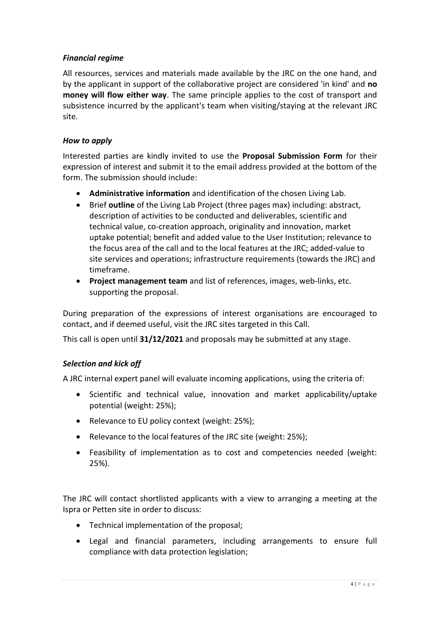# *Financial regime*

All resources, services and materials made available by the JRC on the one hand, and by the applicant in support of the collaborative project are considered 'in kind' and **no money will flow either way**. The same principle applies to the cost of transport and subsistence incurred by the applicant's team when visiting/staying at the relevant JRC site.

#### *How to apply*

Interested parties are kindly invited to use the **Proposal Submission Form** for their expression of interest and submit it to the email address provided at the bottom of the form. The submission should include:

- **Administrative information** and identification of the chosen Living Lab.
- Brief **outline** of the Living Lab Project (three pages max) including: abstract, description of activities to be conducted and deliverables, scientific and technical value, co-creation approach, originality and innovation, market uptake potential; benefit and added value to the User Institution; relevance to the focus area of the call and to the local features at the JRC; added-value to site services and operations; infrastructure requirements (towards the JRC) and timeframe.
- **Project management team** and list of references, images, web-links, etc. supporting the proposal.

During preparation of the expressions of interest organisations are encouraged to contact, and if deemed useful, visit the JRC sites targeted in this Call.

This call is open until **31/12/2021** and proposals may be submitted at any stage.

# *Selection and kick off*

A JRC internal expert panel will evaluate incoming applications, using the criteria of:

- Scientific and technical value, innovation and market applicability/uptake potential (weight: 25%);
- Relevance to EU policy context (weight: 25%);
- Relevance to the local features of the JRC site (weight: 25%);
- Feasibility of implementation as to cost and competencies needed (weight: 25%).

The JRC will contact shortlisted applicants with a view to arranging a meeting at the Ispra or Petten site in order to discuss:

- Technical implementation of the proposal;
- Legal and financial parameters, including arrangements to ensure full compliance with data protection legislation;